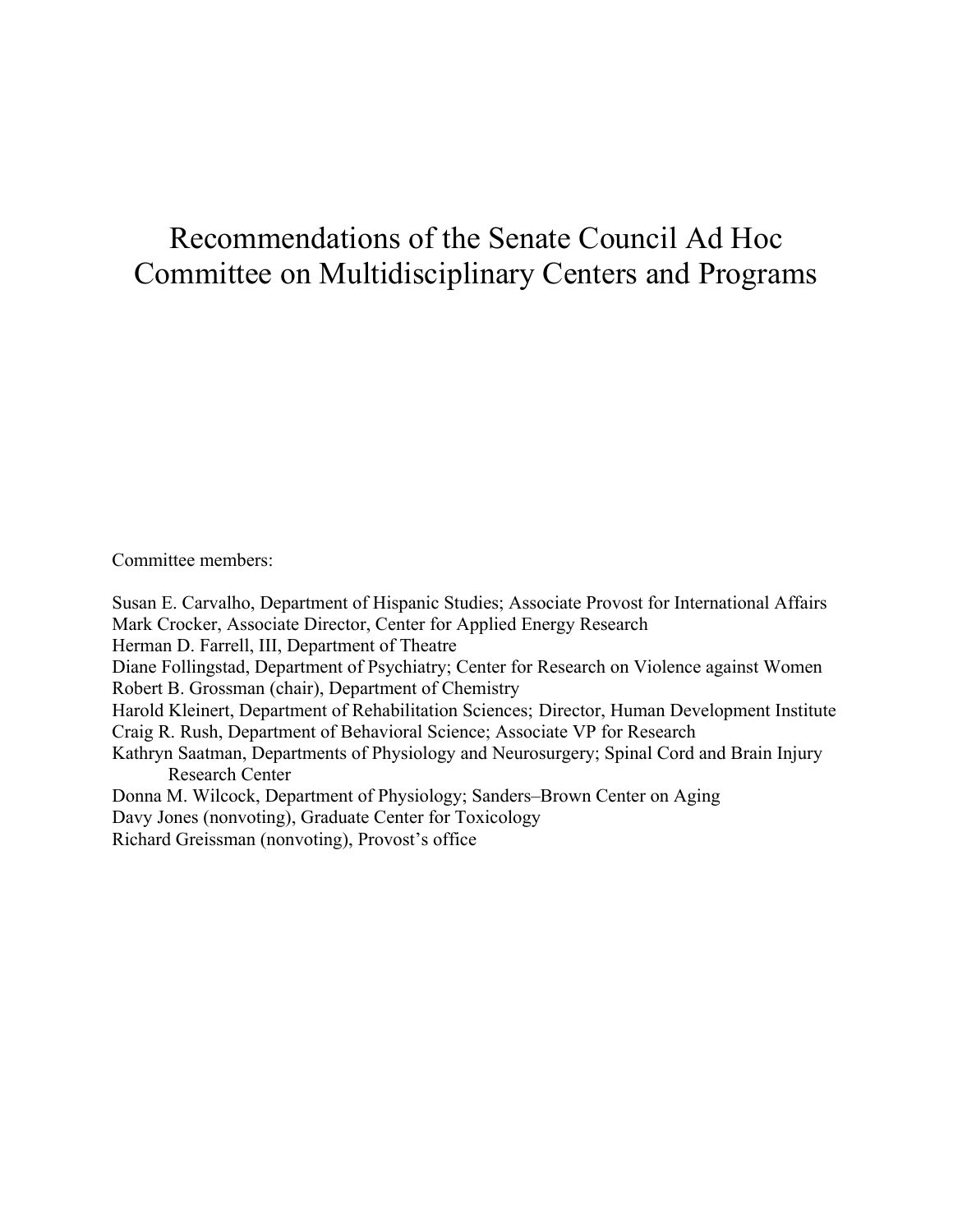# Recommendations of the Senate Council Ad Hoc Committee on Multidisciplinary Centers and Programs

Committee members:

Susan E. Carvalho, Department of Hispanic Studies; Associate Provost for International Affairs Mark Crocker, Associate Director, Center for Applied Energy Research Herman D. Farrell, III, Department of Theatre Diane Follingstad, Department of Psychiatry; Center for Research on Violence against Women Robert B. Grossman (chair), Department of Chemistry Harold Kleinert, Department of Rehabilitation Sciences; Director, Human Development Institute Craig R. Rush, Department of Behavioral Science; Associate VP for Research Kathryn Saatman, Departments of Physiology and Neurosurgery; Spinal Cord and Brain Injury Research Center Donna M. Wilcock, Department of Physiology; Sanders–Brown Center on Aging Davy Jones (nonvoting), Graduate Center for Toxicology

Richard Greissman (nonvoting), Provost's office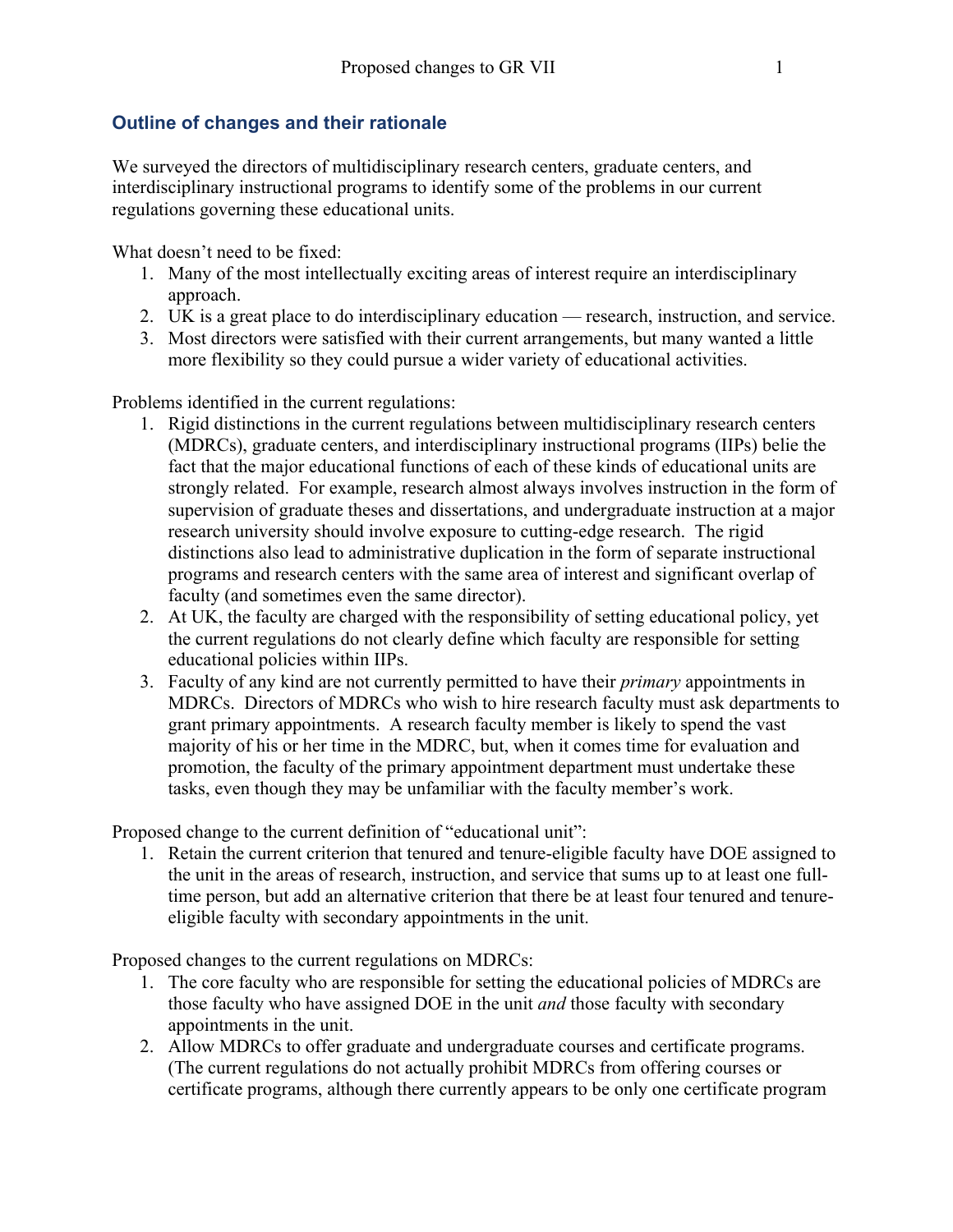#### **Outline of changes and their rationale**

We surveyed the directors of multidisciplinary research centers, graduate centers, and interdisciplinary instructional programs to identify some of the problems in our current regulations governing these educational units.

What doesn't need to be fixed:

- 1. Many of the most intellectually exciting areas of interest require an interdisciplinary approach.
- 2. UK is a great place to do interdisciplinary education research, instruction, and service.
- 3. Most directors were satisfied with their current arrangements, but many wanted a little more flexibility so they could pursue a wider variety of educational activities.

Problems identified in the current regulations:

- 1. Rigid distinctions in the current regulations between multidisciplinary research centers (MDRCs), graduate centers, and interdisciplinary instructional programs (IIPs) belie the fact that the major educational functions of each of these kinds of educational units are strongly related. For example, research almost always involves instruction in the form of supervision of graduate theses and dissertations, and undergraduate instruction at a major research university should involve exposure to cutting-edge research. The rigid distinctions also lead to administrative duplication in the form of separate instructional programs and research centers with the same area of interest and significant overlap of faculty (and sometimes even the same director).
- 2. At UK, the faculty are charged with the responsibility of setting educational policy, yet the current regulations do not clearly define which faculty are responsible for setting educational policies within IIPs.
- 3. Faculty of any kind are not currently permitted to have their *primary* appointments in MDRCs. Directors of MDRCs who wish to hire research faculty must ask departments to grant primary appointments. A research faculty member is likely to spend the vast majority of his or her time in the MDRC, but, when it comes time for evaluation and promotion, the faculty of the primary appointment department must undertake these tasks, even though they may be unfamiliar with the faculty member's work.

Proposed change to the current definition of "educational unit":

1. Retain the current criterion that tenured and tenure-eligible faculty have DOE assigned to the unit in the areas of research, instruction, and service that sums up to at least one fulltime person, but add an alternative criterion that there be at least four tenured and tenureeligible faculty with secondary appointments in the unit.

Proposed changes to the current regulations on MDRCs:

- 1. The core faculty who are responsible for setting the educational policies of MDRCs are those faculty who have assigned DOE in the unit *and* those faculty with secondary appointments in the unit.
- 2. Allow MDRCs to offer graduate and undergraduate courses and certificate programs. (The current regulations do not actually prohibit MDRCs from offering courses or certificate programs, although there currently appears to be only one certificate program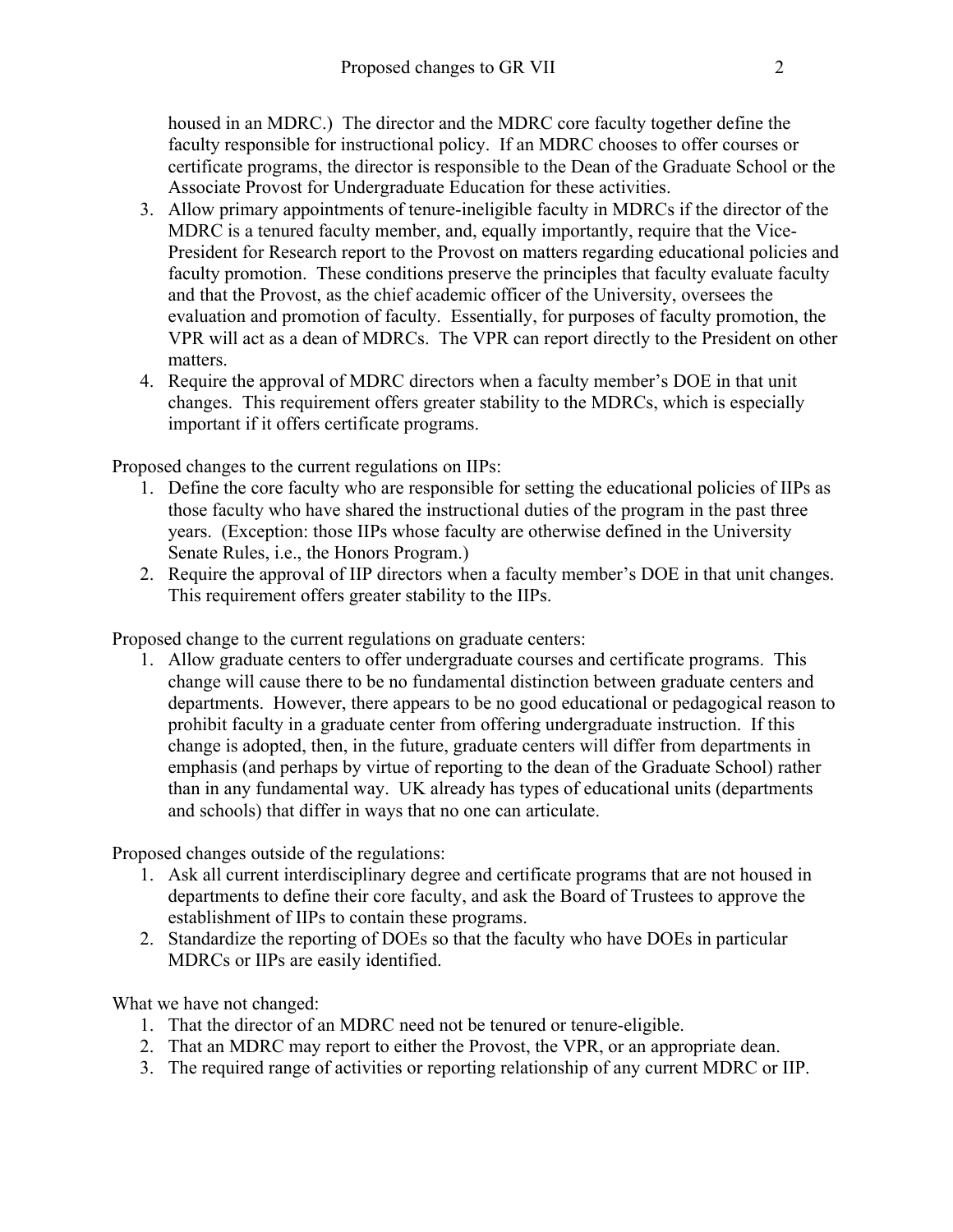housed in an MDRC.) The director and the MDRC core faculty together define the faculty responsible for instructional policy. If an MDRC chooses to offer courses or certificate programs, the director is responsible to the Dean of the Graduate School or the Associate Provost for Undergraduate Education for these activities.

- 3. Allow primary appointments of tenure-ineligible faculty in MDRCs if the director of the MDRC is a tenured faculty member, and, equally importantly, require that the Vice-President for Research report to the Provost on matters regarding educational policies and faculty promotion. These conditions preserve the principles that faculty evaluate faculty and that the Provost, as the chief academic officer of the University, oversees the evaluation and promotion of faculty. Essentially, for purposes of faculty promotion, the VPR will act as a dean of MDRCs. The VPR can report directly to the President on other matters.
- 4. Require the approval of MDRC directors when a faculty member's DOE in that unit changes. This requirement offers greater stability to the MDRCs, which is especially important if it offers certificate programs.

Proposed changes to the current regulations on IIPs:

- 1. Define the core faculty who are responsible for setting the educational policies of IIPs as those faculty who have shared the instructional duties of the program in the past three years. (Exception: those IIPs whose faculty are otherwise defined in the University Senate Rules, i.e., the Honors Program.)
- 2. Require the approval of IIP directors when a faculty member's DOE in that unit changes. This requirement offers greater stability to the IIPs.

Proposed change to the current regulations on graduate centers:

1. Allow graduate centers to offer undergraduate courses and certificate programs. This change will cause there to be no fundamental distinction between graduate centers and departments. However, there appears to be no good educational or pedagogical reason to prohibit faculty in a graduate center from offering undergraduate instruction. If this change is adopted, then, in the future, graduate centers will differ from departments in emphasis (and perhaps by virtue of reporting to the dean of the Graduate School) rather than in any fundamental way. UK already has types of educational units (departments and schools) that differ in ways that no one can articulate.

Proposed changes outside of the regulations:

- 1. Ask all current interdisciplinary degree and certificate programs that are not housed in departments to define their core faculty, and ask the Board of Trustees to approve the establishment of IIPs to contain these programs.
- 2. Standardize the reporting of DOEs so that the faculty who have DOEs in particular MDRCs or IIPs are easily identified.

What we have not changed:

- 1. That the director of an MDRC need not be tenured or tenure-eligible.
- 2. That an MDRC may report to either the Provost, the VPR, or an appropriate dean.
- 3. The required range of activities or reporting relationship of any current MDRC or IIP.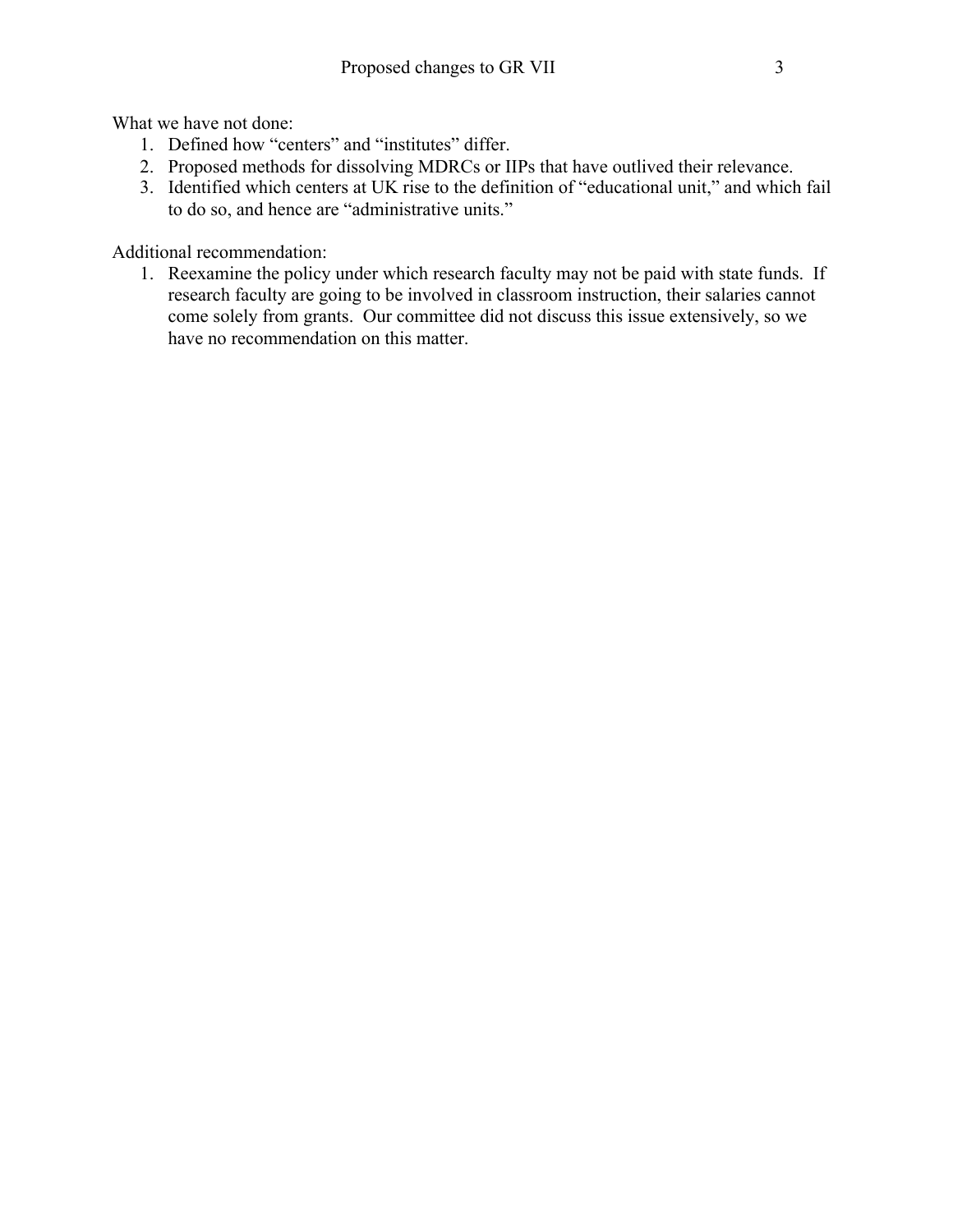What we have not done:

- 1. Defined how "centers" and "institutes" differ.
- 2. Proposed methods for dissolving MDRCs or IIPs that have outlived their relevance.
- 3. Identified which centers at UK rise to the definition of "educational unit," and which fail to do so, and hence are "administrative units."

Additional recommendation:

1. Reexamine the policy under which research faculty may not be paid with state funds. If research faculty are going to be involved in classroom instruction, their salaries cannot come solely from grants. Our committee did not discuss this issue extensively, so we have no recommendation on this matter.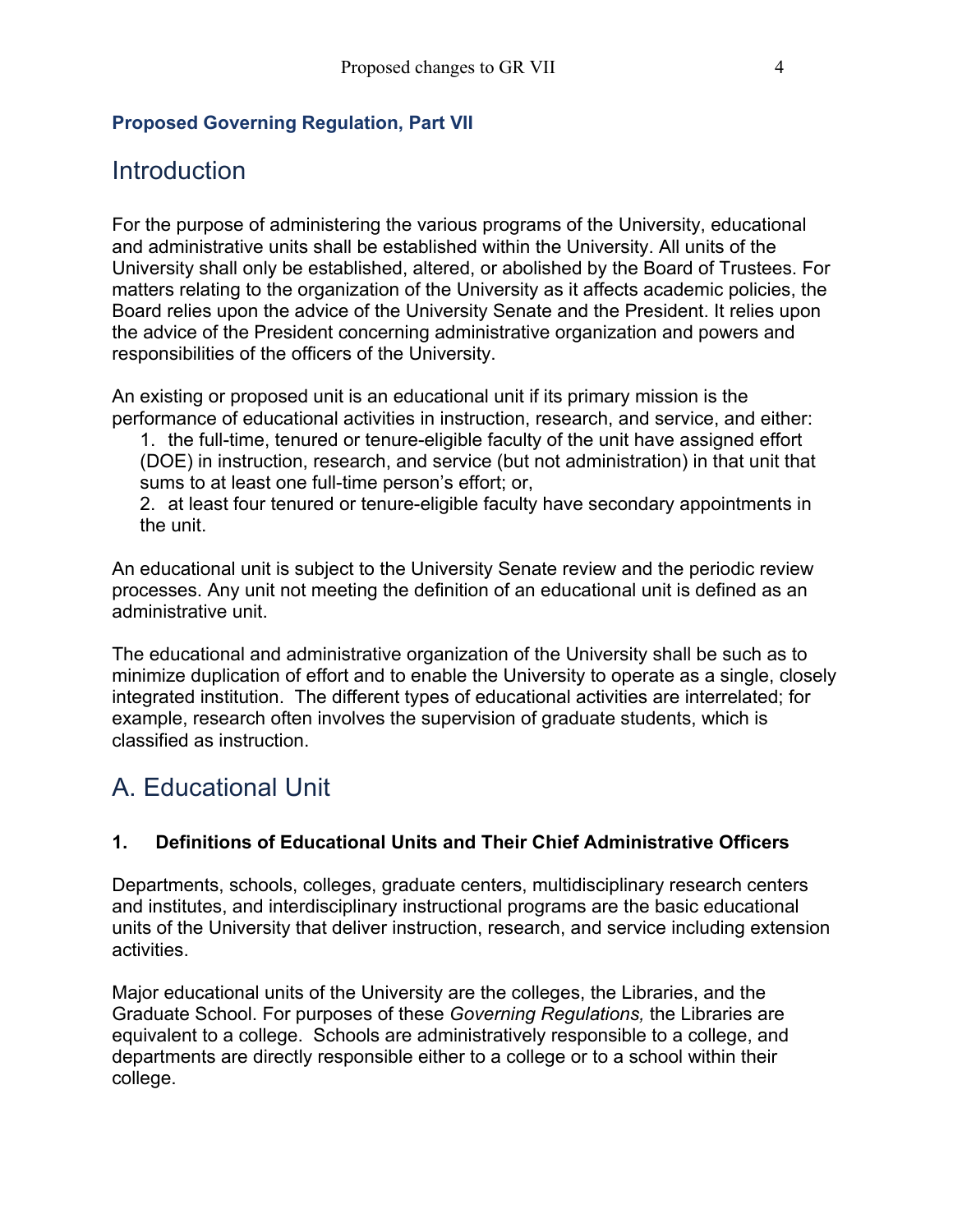#### **Proposed Governing Regulation, Part VII**

### Introduction

For the purpose of administering the various programs of the University, educational and administrative units shall be established within the University. All units of the University shall only be established, altered, or abolished by the Board of Trustees. For matters relating to the organization of the University as it affects academic policies, the Board relies upon the advice of the University Senate and the President. It relies upon the advice of the President concerning administrative organization and powers and responsibilities of the officers of the University.

An existing or proposed unit is an educational unit if its primary mission is the performance of educational activities in instruction, research, and service, and either:

1. the full-time, tenured or tenure-eligible faculty of the unit have assigned effort (DOE) in instruction, research, and service (but not administration) in that unit that sums to at least one full-time person's effort; or,

2. at least four tenured or tenure-eligible faculty have secondary appointments in the unit.

An educational unit is subject to the University Senate review and the periodic review processes. Any unit not meeting the definition of an educational unit is defined as an administrative unit.

The educational and administrative organization of the University shall be such as to minimize duplication of effort and to enable the University to operate as a single, closely integrated institution. The different types of educational activities are interrelated; for example, research often involves the supervision of graduate students, which is classified as instruction.

## A. Educational Unit

#### **1. Definitions of Educational Units and Their Chief Administrative Officers**

Departments, schools, colleges, graduate centers, multidisciplinary research centers and institutes, and interdisciplinary instructional programs are the basic educational units of the University that deliver instruction, research, and service including extension activities.

Major educational units of the University are the colleges, the Libraries, and the Graduate School. For purposes of these *Governing Regulations,* the Libraries are equivalent to a college. Schools are administratively responsible to a college, and departments are directly responsible either to a college or to a school within their college.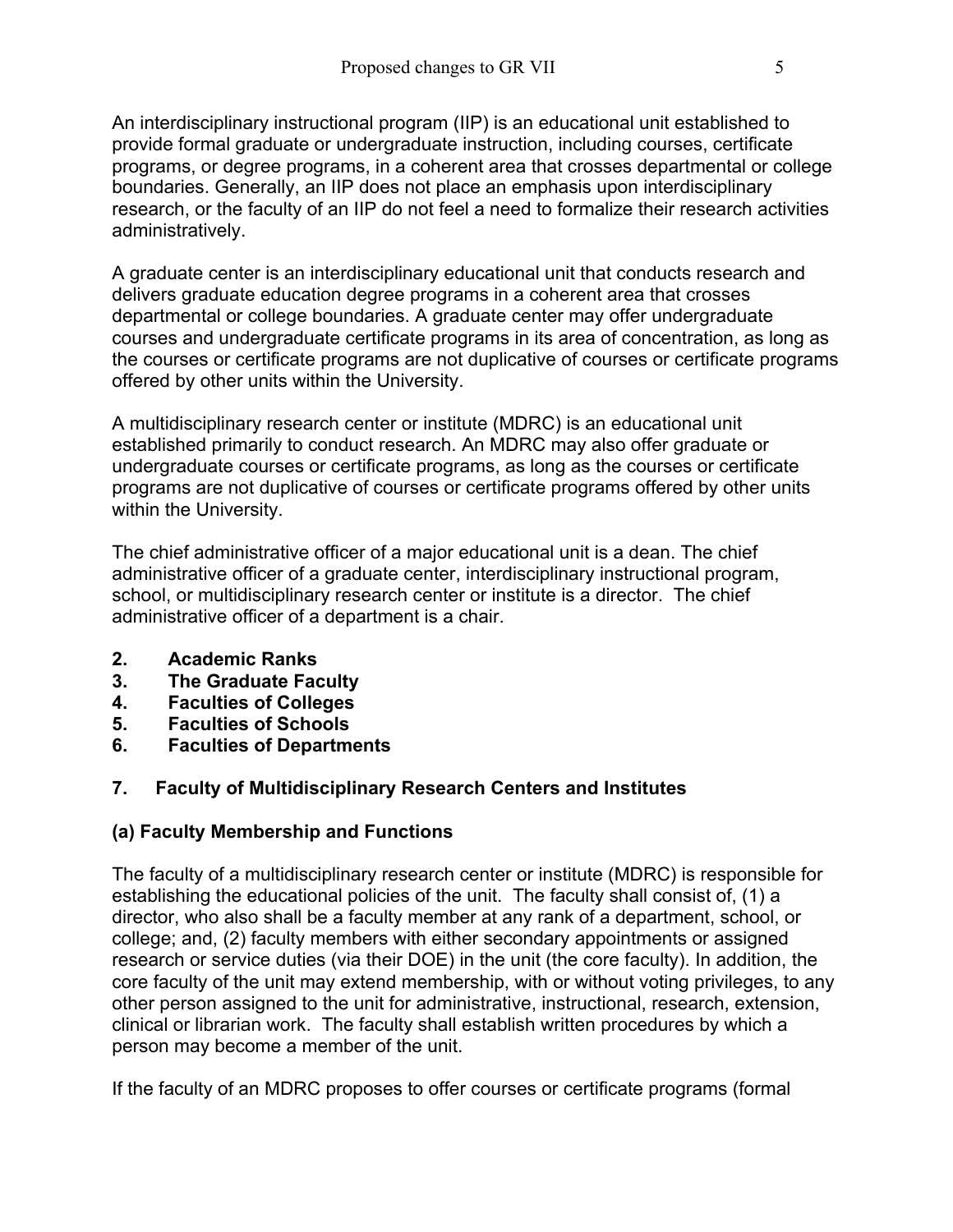An interdisciplinary instructional program (IIP) is an educational unit established to provide formal graduate or undergraduate instruction, including courses, certificate programs, or degree programs, in a coherent area that crosses departmental or college boundaries. Generally, an IIP does not place an emphasis upon interdisciplinary research, or the faculty of an IIP do not feel a need to formalize their research activities administratively.

A graduate center is an interdisciplinary educational unit that conducts research and delivers graduate education degree programs in a coherent area that crosses departmental or college boundaries. A graduate center may offer undergraduate courses and undergraduate certificate programs in its area of concentration, as long as the courses or certificate programs are not duplicative of courses or certificate programs offered by other units within the University.

A multidisciplinary research center or institute (MDRC) is an educational unit established primarily to conduct research. An MDRC may also offer graduate or undergraduate courses or certificate programs, as long as the courses or certificate programs are not duplicative of courses or certificate programs offered by other units within the University.

The chief administrative officer of a major educational unit is a dean. The chief administrative officer of a graduate center, interdisciplinary instructional program, school, or multidisciplinary research center or institute is a director. The chief administrative officer of a department is a chair.

- **2. Academic Ranks**
- **3. The Graduate Faculty**
- **4. Faculties of Colleges**
- **5. Faculties of Schools**
- **6. Faculties of Departments**

#### **7. Faculty of Multidisciplinary Research Centers and Institutes**

#### **(a) Faculty Membership and Functions**

The faculty of a multidisciplinary research center or institute (MDRC) is responsible for establishing the educational policies of the unit. The faculty shall consist of, (1) a director, who also shall be a faculty member at any rank of a department, school, or college; and, (2) faculty members with either secondary appointments or assigned research or service duties (via their DOE) in the unit (the core faculty). In addition, the core faculty of the unit may extend membership, with or without voting privileges, to any other person assigned to the unit for administrative, instructional, research, extension, clinical or librarian work. The faculty shall establish written procedures by which a person may become a member of the unit.

If the faculty of an MDRC proposes to offer courses or certificate programs (formal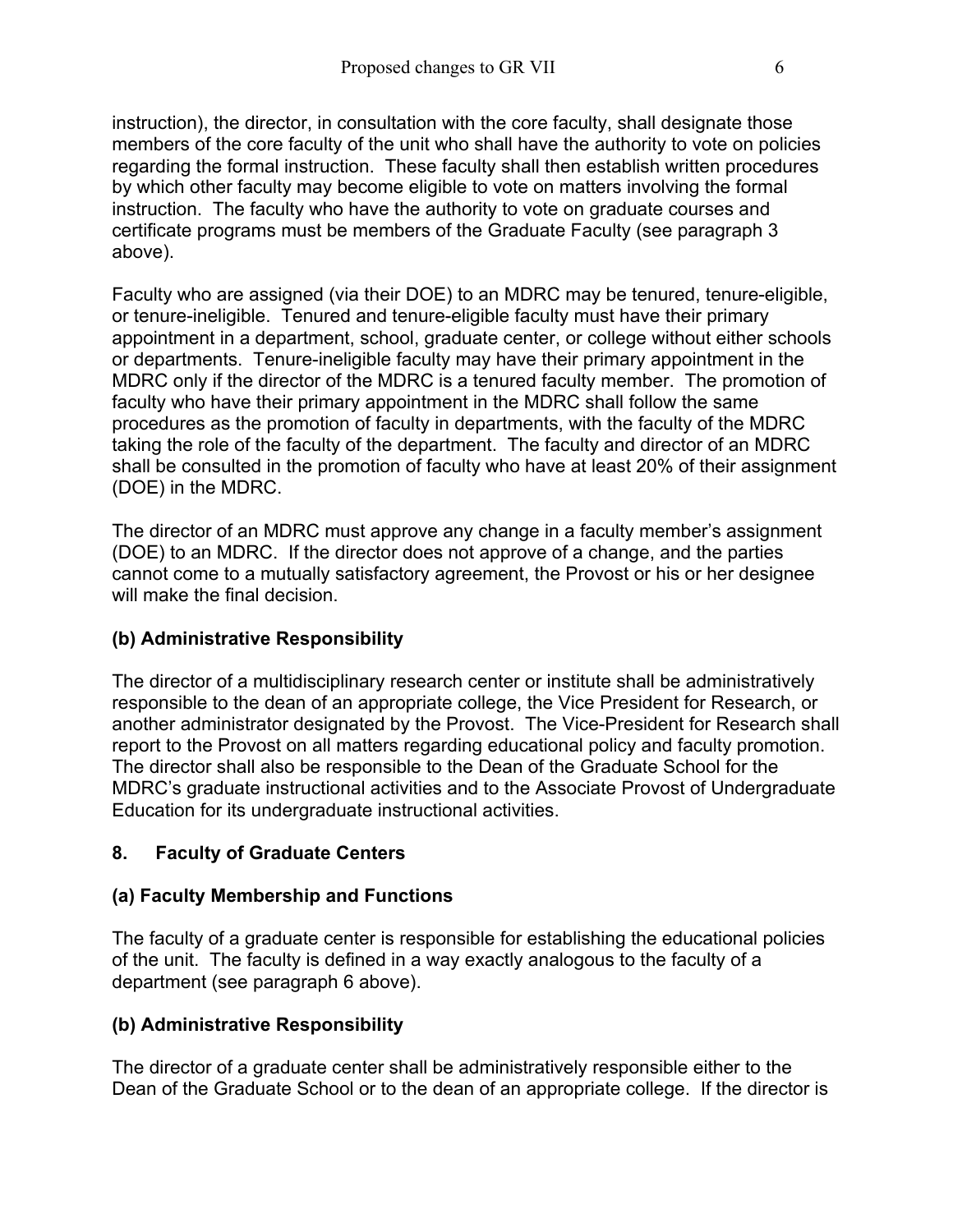instruction), the director, in consultation with the core faculty, shall designate those members of the core faculty of the unit who shall have the authority to vote on policies regarding the formal instruction. These faculty shall then establish written procedures by which other faculty may become eligible to vote on matters involving the formal instruction. The faculty who have the authority to vote on graduate courses and certificate programs must be members of the Graduate Faculty (see paragraph 3 above).

Faculty who are assigned (via their DOE) to an MDRC may be tenured, tenure-eligible, or tenure-ineligible. Tenured and tenure-eligible faculty must have their primary appointment in a department, school, graduate center, or college without either schools or departments. Tenure-ineligible faculty may have their primary appointment in the MDRC only if the director of the MDRC is a tenured faculty member. The promotion of faculty who have their primary appointment in the MDRC shall follow the same procedures as the promotion of faculty in departments, with the faculty of the MDRC taking the role of the faculty of the department. The faculty and director of an MDRC shall be consulted in the promotion of faculty who have at least 20% of their assignment (DOE) in the MDRC.

The director of an MDRC must approve any change in a faculty member's assignment (DOE) to an MDRC. If the director does not approve of a change, and the parties cannot come to a mutually satisfactory agreement, the Provost or his or her designee will make the final decision.

#### **(b) Administrative Responsibility**

The director of a multidisciplinary research center or institute shall be administratively responsible to the dean of an appropriate college, the Vice President for Research, or another administrator designated by the Provost. The Vice-President for Research shall report to the Provost on all matters regarding educational policy and faculty promotion. The director shall also be responsible to the Dean of the Graduate School for the MDRC's graduate instructional activities and to the Associate Provost of Undergraduate Education for its undergraduate instructional activities.

#### **8. Faculty of Graduate Centers**

#### **(a) Faculty Membership and Functions**

The faculty of a graduate center is responsible for establishing the educational policies of the unit. The faculty is defined in a way exactly analogous to the faculty of a department (see paragraph 6 above).

#### **(b) Administrative Responsibility**

The director of a graduate center shall be administratively responsible either to the Dean of the Graduate School or to the dean of an appropriate college. If the director is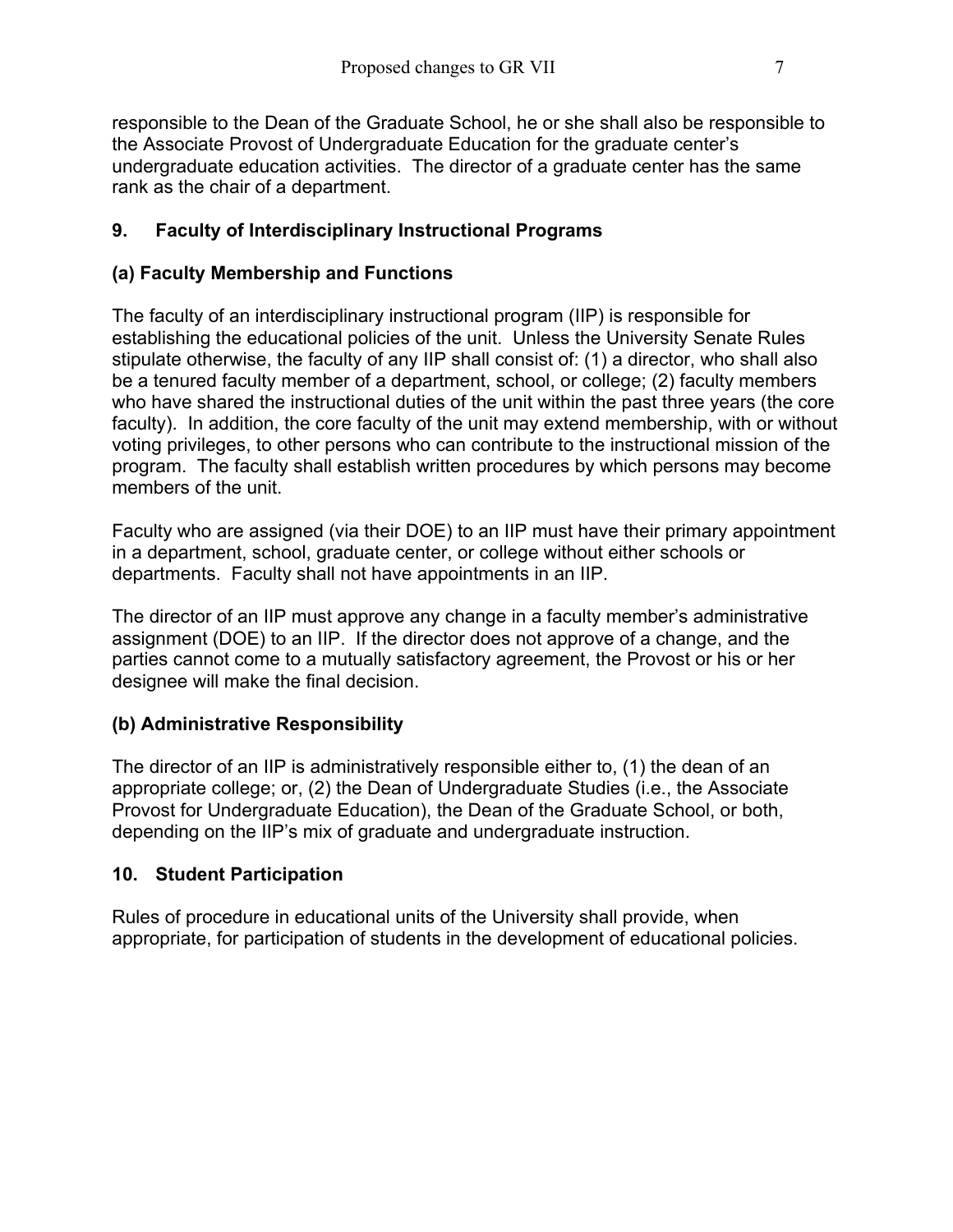responsible to the Dean of the Graduate School, he or she shall also be responsible to the Associate Provost of Undergraduate Education for the graduate center's undergraduate education activities. The director of a graduate center has the same rank as the chair of a department.

#### **9. Faculty of Interdisciplinary Instructional Programs**

#### **(a) Faculty Membership and Functions**

The faculty of an interdisciplinary instructional program (IIP) is responsible for establishing the educational policies of the unit. Unless the University Senate Rules stipulate otherwise, the faculty of any IIP shall consist of: (1) a director, who shall also be a tenured faculty member of a department, school, or college; (2) faculty members who have shared the instructional duties of the unit within the past three years (the core faculty). In addition, the core faculty of the unit may extend membership, with or without voting privileges, to other persons who can contribute to the instructional mission of the program. The faculty shall establish written procedures by which persons may become members of the unit.

Faculty who are assigned (via their DOE) to an IIP must have their primary appointment in a department, school, graduate center, or college without either schools or departments. Faculty shall not have appointments in an IIP.

The director of an IIP must approve any change in a faculty member's administrative assignment (DOE) to an IIP. If the director does not approve of a change, and the parties cannot come to a mutually satisfactory agreement, the Provost or his or her designee will make the final decision.

#### **(b) Administrative Responsibility**

The director of an IIP is administratively responsible either to, (1) the dean of an appropriate college; or, (2) the Dean of Undergraduate Studies (i.e., the Associate Provost for Undergraduate Education), the Dean of the Graduate School, or both, depending on the IIP's mix of graduate and undergraduate instruction.

#### **10. Student Participation**

Rules of procedure in educational units of the University shall provide, when appropriate, for participation of students in the development of educational policies.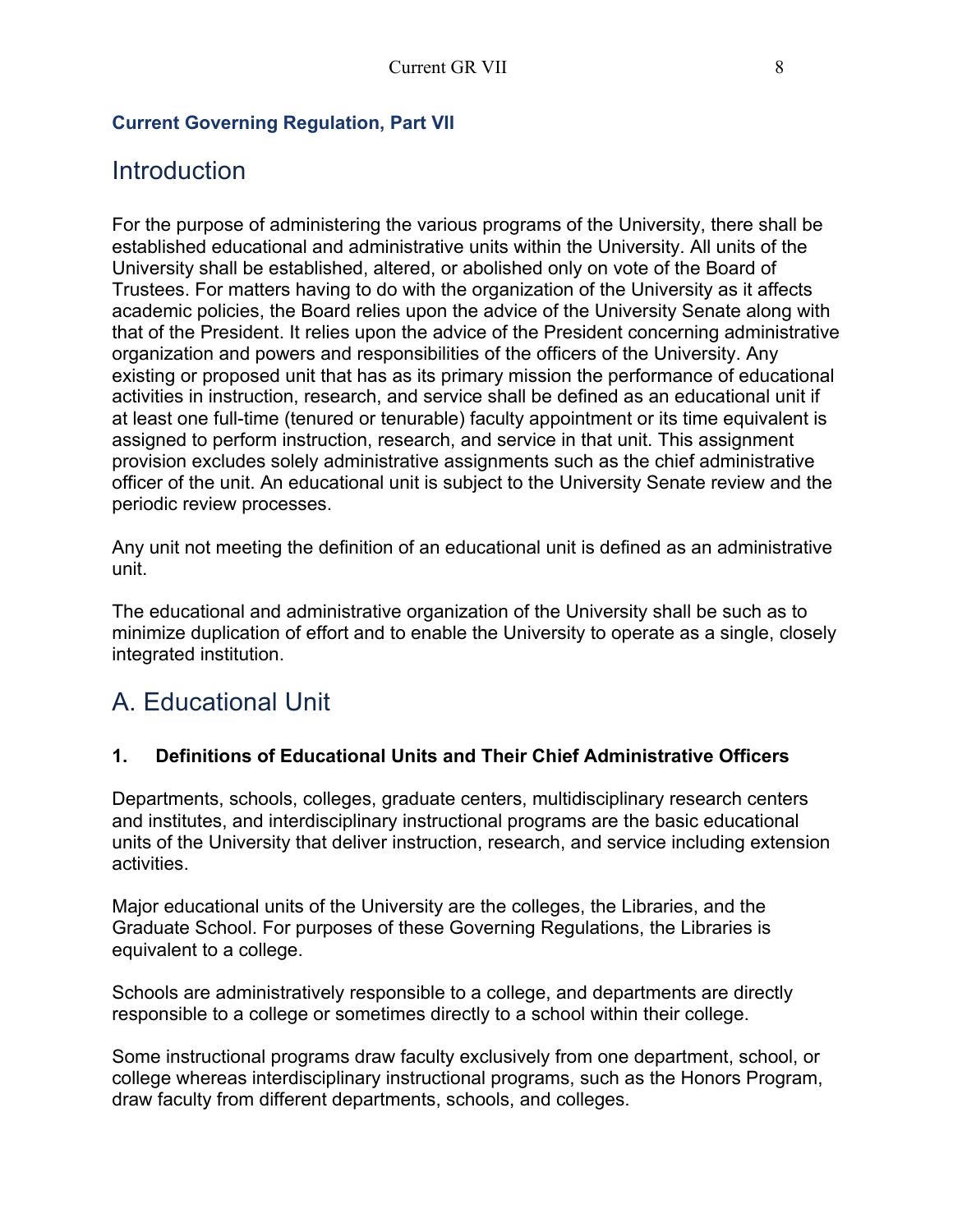#### **Current Governing Regulation, Part VII**

### Introduction

For the purpose of administering the various programs of the University, there shall be established educational and administrative units within the University. All units of the University shall be established, altered, or abolished only on vote of the Board of Trustees. For matters having to do with the organization of the University as it affects academic policies, the Board relies upon the advice of the University Senate along with that of the President. It relies upon the advice of the President concerning administrative organization and powers and responsibilities of the officers of the University. Any existing or proposed unit that has as its primary mission the performance of educational activities in instruction, research, and service shall be defined as an educational unit if at least one full-time (tenured or tenurable) faculty appointment or its time equivalent is assigned to perform instruction, research, and service in that unit. This assignment provision excludes solely administrative assignments such as the chief administrative officer of the unit. An educational unit is subject to the University Senate review and the periodic review processes.

Any unit not meeting the definition of an educational unit is defined as an administrative unit.

The educational and administrative organization of the University shall be such as to minimize duplication of effort and to enable the University to operate as a single, closely integrated institution.

## A. Educational Unit

#### **1. Definitions of Educational Units and Their Chief Administrative Officers**

Departments, schools, colleges, graduate centers, multidisciplinary research centers and institutes, and interdisciplinary instructional programs are the basic educational units of the University that deliver instruction, research, and service including extension activities.

Major educational units of the University are the colleges, the Libraries, and the Graduate School. For purposes of these Governing Regulations, the Libraries is equivalent to a college.

Schools are administratively responsible to a college, and departments are directly responsible to a college or sometimes directly to a school within their college.

Some instructional programs draw faculty exclusively from one department, school, or college whereas interdisciplinary instructional programs, such as the Honors Program, draw faculty from different departments, schools, and colleges.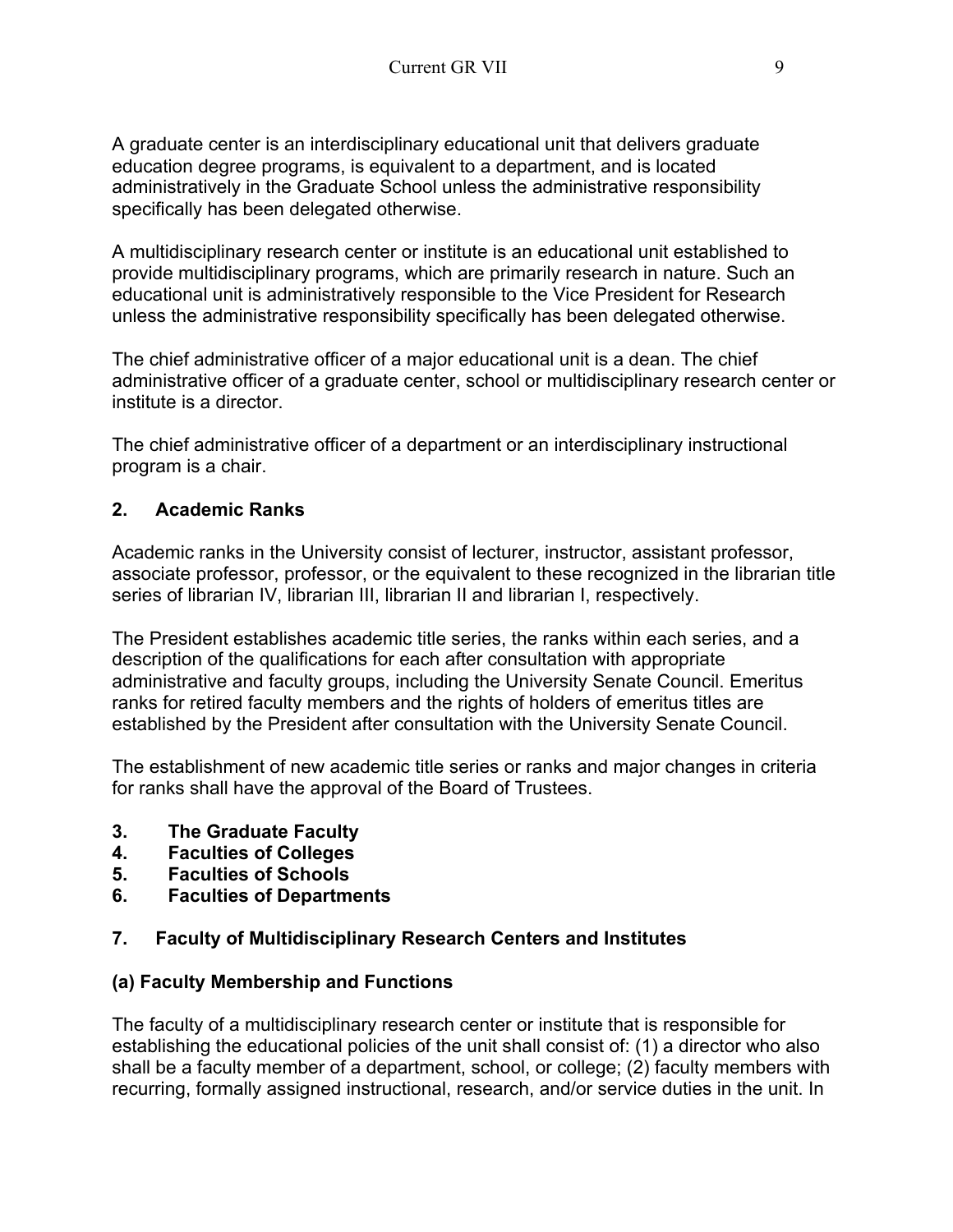A graduate center is an interdisciplinary educational unit that delivers graduate education degree programs, is equivalent to a department, and is located administratively in the Graduate School unless the administrative responsibility specifically has been delegated otherwise.

A multidisciplinary research center or institute is an educational unit established to provide multidisciplinary programs, which are primarily research in nature. Such an educational unit is administratively responsible to the Vice President for Research unless the administrative responsibility specifically has been delegated otherwise.

The chief administrative officer of a major educational unit is a dean. The chief administrative officer of a graduate center, school or multidisciplinary research center or institute is a director.

The chief administrative officer of a department or an interdisciplinary instructional program is a chair.

#### **2. Academic Ranks**

Academic ranks in the University consist of lecturer, instructor, assistant professor, associate professor, professor, or the equivalent to these recognized in the librarian title series of librarian IV, librarian III, librarian II and librarian I, respectively.

The President establishes academic title series, the ranks within each series, and a description of the qualifications for each after consultation with appropriate administrative and faculty groups, including the University Senate Council. Emeritus ranks for retired faculty members and the rights of holders of emeritus titles are established by the President after consultation with the University Senate Council.

The establishment of new academic title series or ranks and major changes in criteria for ranks shall have the approval of the Board of Trustees.

- **3. The Graduate Faculty**
- **4. Faculties of Colleges**
- **5. Faculties of Schools**
- **6. Faculties of Departments**

#### **7. Faculty of Multidisciplinary Research Centers and Institutes**

#### **(a) Faculty Membership and Functions**

The faculty of a multidisciplinary research center or institute that is responsible for establishing the educational policies of the unit shall consist of: (1) a director who also shall be a faculty member of a department, school, or college; (2) faculty members with recurring, formally assigned instructional, research, and/or service duties in the unit. In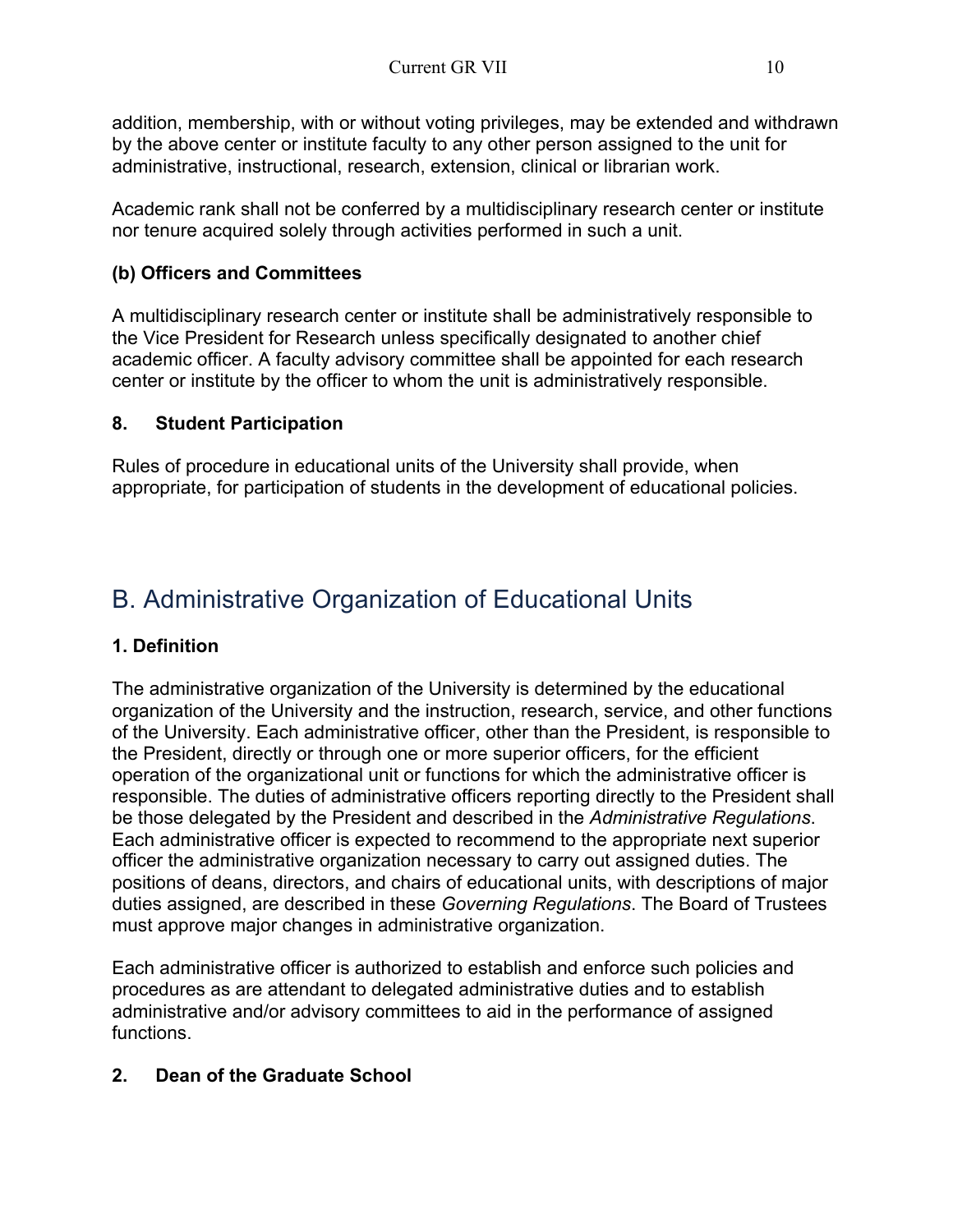addition, membership, with or without voting privileges, may be extended and withdrawn by the above center or institute faculty to any other person assigned to the unit for administrative, instructional, research, extension, clinical or librarian work.

Academic rank shall not be conferred by a multidisciplinary research center or institute nor tenure acquired solely through activities performed in such a unit.

#### **(b) Officers and Committees**

A multidisciplinary research center or institute shall be administratively responsible to the Vice President for Research unless specifically designated to another chief academic officer. A faculty advisory committee shall be appointed for each research center or institute by the officer to whom the unit is administratively responsible.

#### **8. Student Participation**

Rules of procedure in educational units of the University shall provide, when appropriate, for participation of students in the development of educational policies.

## B. Administrative Organization of Educational Units

#### **1. Definition**

The administrative organization of the University is determined by the educational organization of the University and the instruction, research, service, and other functions of the University. Each administrative officer, other than the President, is responsible to the President, directly or through one or more superior officers, for the efficient operation of the organizational unit or functions for which the administrative officer is responsible. The duties of administrative officers reporting directly to the President shall be those delegated by the President and described in the *Administrative Regulations*. Each administrative officer is expected to recommend to the appropriate next superior officer the administrative organization necessary to carry out assigned duties. The positions of deans, directors, and chairs of educational units, with descriptions of major duties assigned, are described in these *Governing Regulations*. The Board of Trustees must approve major changes in administrative organization.

Each administrative officer is authorized to establish and enforce such policies and procedures as are attendant to delegated administrative duties and to establish administrative and/or advisory committees to aid in the performance of assigned functions.

#### **2. Dean of the Graduate School**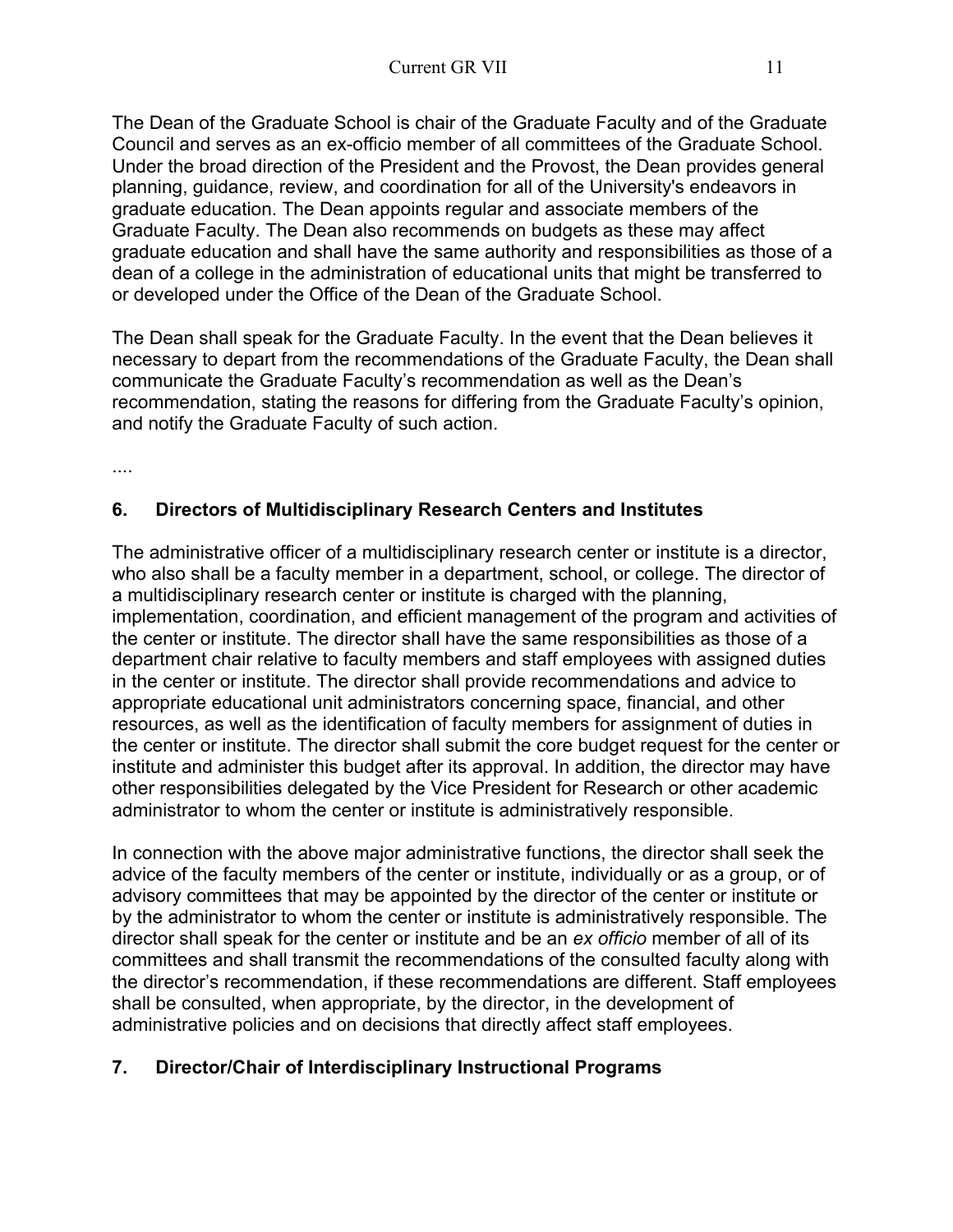The Dean of the Graduate School is chair of the Graduate Faculty and of the Graduate Council and serves as an ex-officio member of all committees of the Graduate School. Under the broad direction of the President and the Provost, the Dean provides general planning, guidance, review, and coordination for all of the University's endeavors in graduate education. The Dean appoints regular and associate members of the Graduate Faculty. The Dean also recommends on budgets as these may affect graduate education and shall have the same authority and responsibilities as those of a dean of a college in the administration of educational units that might be transferred to or developed under the Office of the Dean of the Graduate School.

The Dean shall speak for the Graduate Faculty. In the event that the Dean believes it necessary to depart from the recommendations of the Graduate Faculty, the Dean shall communicate the Graduate Faculty's recommendation as well as the Dean's recommendation, stating the reasons for differing from the Graduate Faculty's opinion, and notify the Graduate Faculty of such action.

....

#### **6. Directors of Multidisciplinary Research Centers and Institutes**

The administrative officer of a multidisciplinary research center or institute is a director, who also shall be a faculty member in a department, school, or college. The director of a multidisciplinary research center or institute is charged with the planning, implementation, coordination, and efficient management of the program and activities of the center or institute. The director shall have the same responsibilities as those of a department chair relative to faculty members and staff employees with assigned duties in the center or institute. The director shall provide recommendations and advice to appropriate educational unit administrators concerning space, financial, and other resources, as well as the identification of faculty members for assignment of duties in the center or institute. The director shall submit the core budget request for the center or institute and administer this budget after its approval. In addition, the director may have other responsibilities delegated by the Vice President for Research or other academic administrator to whom the center or institute is administratively responsible.

In connection with the above major administrative functions, the director shall seek the advice of the faculty members of the center or institute, individually or as a group, or of advisory committees that may be appointed by the director of the center or institute or by the administrator to whom the center or institute is administratively responsible. The director shall speak for the center or institute and be an *ex officio* member of all of its committees and shall transmit the recommendations of the consulted faculty along with the director's recommendation, if these recommendations are different. Staff employees shall be consulted, when appropriate, by the director, in the development of administrative policies and on decisions that directly affect staff employees.

#### **7. Director/Chair of Interdisciplinary Instructional Programs**